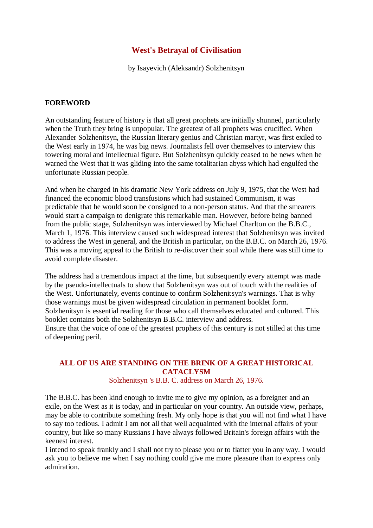# **West's Betrayal of Civilisation**

by Isayevich (Aleksandr) Solzhenitsyn

#### **FOREWORD**

An outstanding feature of history is that all great prophets are initially shunned, particularly when the Truth they bring is unpopular. The greatest of all prophets was crucified. When Alexander Solzhenitsyn, the Russian literary genius and Christian martyr, was first exiled to the West early in 1974, he was big news. Journalists fell over themselves to interview this towering moral and intellectual figure. But Solzhenitsyn quickly ceased to be news when he warned the West that it was gliding into the same totalitarian abyss which had engulfed the unfortunate Russian people.

And when he charged in his dramatic New York address on July 9, 1975, that the West had financed the economic blood transfusions which had sustained Communism, it was predictable that he would soon be consigned to a non-person status. And that the smearers would start a campaign to denigrate this remarkable man. However, before being banned from the public stage, Solzhenitsyn was interviewed by Michael Charlton on the B.B.C., March 1, 1976. This interview caused such widespread interest that Solzhenitsyn was invited to address the West in general, and the British in particular, on the B.B.C. on March 26, 1976. This was a moving appeal to the British to re-discover their soul while there was still time to avoid complete disaster.

The address had a tremendous impact at the time, but subsequently every attempt was made by the pseudo-intellectuals to show that Solzhenitsyn was out of touch with the realities of the West. Unfortunately, events continue to confirm Solzhenitsyn's warnings. That is why those warnings must be given widespread circulation in permanent booklet form. Solzhenitsyn is essential reading for those who call themselves educated and cultured. This booklet contains both the Solzhenitsyn B.B.C. interview and address. Ensure that the voice of one of the greatest prophets of this century is not stilled at this time of deepening peril.

# **ALL OF US ARE STANDING ON THE BRINK OF A GREAT HISTORICAL CATACLYSM**

Solzhenitsyn 's B.B. C. address on March 26, 1976.

The B.B.C. has been kind enough to invite me to give my opinion, as a foreigner and an exile, on the West as it is today, and in particular on your country. An outside view, perhaps, may be able to contribute something fresh. My only hope is that you will not find what I have to say too tedious. I admit I am not all that well acquainted with the internal affairs of your country, but like so many Russians I have always followed Britain's foreign affairs with the keenest interest.

I intend to speak frankly and I shall not try to please you or to flatter you in any way. I would ask you to believe me when I say nothing could give me more pleasure than to express only admiration.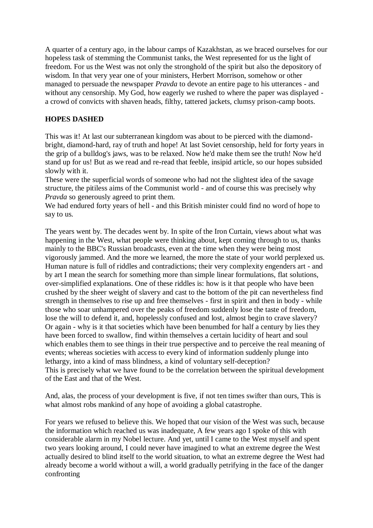A quarter of a century ago, in the labour camps of Kazakhstan, as we braced ourselves for our hopeless task of stemming the Communist tanks, the West represented for us the light of freedom. For us the West was not only the stronghold of the spirit but also the depository of wisdom. In that very year one of your ministers, Herbert Morrison, somehow or other managed to persuade the newspaper *Pravda* to devote an entire page to his utterances - and without any censorship. My God, how eagerly we rushed to where the paper was displayed a crowd of convicts with shaven heads, filthy, tattered jackets, clumsy prison-camp boots.

## **HOPES DASHED**

This was it! At last our subterranean kingdom was about to be pierced with the diamondbright, diamond-hard, ray of truth and hope! At last Soviet censorship, held for forty years in the grip of a bulldog's jaws, was to be relaxed. Now he'd make them see the truth! Now he'd stand up for us! But as we read and re-read that feeble, insipid article, so our hopes subsided slowly with it.

These were the superficial words of someone who had not the slightest idea of the savage structure, the pitiless aims of the Communist world - and of course this was precisely why *Pravda* so generously agreed to print them.

We had endured forty years of hell - and this British minister could find no word of hope to say to us.

The years went by. The decades went by. In spite of the Iron Curtain, views about what was happening in the West, what people were thinking about, kept coming through to us, thanks mainly to the BBC's Russian broadcasts, even at the time when they were being most vigorously jammed. And the more we learned, the more the state of your world perplexed us. Human nature is full of riddles and contradictions; their very complexity engenders art - and by art I mean the search for something more than simple linear formulations, flat solutions, over-simplified explanations. One of these riddles is: how is it that people who have been crushed by the sheer weight of slavery and cast to the bottom of the pit can nevertheless find strength in themselves to rise up and free themselves - first in spirit and then in body - while those who soar unhampered over the peaks of freedom suddenly lose the taste of freedom, lose the will to defend it, and, hopelessly confused and lost, almost begin to crave slavery? Or again - why is it that societies which have been benumbed for half a century by lies they have been forced to swallow, find within themselves a certain lucidity of heart and soul which enables them to see things in their true perspective and to perceive the real meaning of events; whereas societies with access to every kind of information suddenly plunge into lethargy, into a kind of mass blindness, a kind of voluntary self-deception? This is precisely what we have found to be the correlation between the spiritual development of the East and that of the West.

And, alas, the process of your development is five, if not ten times swifter than ours, This is what almost robs mankind of any hope of avoiding a global catastrophe.

For years we refused to believe this. We hoped that our vision of the West was such, because the information which reached us was inadequate, A few years ago I spoke of this with considerable alarm in my Nobel lecture. And yet, until I came to the West myself and spent two years looking around, I could never have imagined to what an extreme degree the West actually desired to blind itself to the world situation, to what an extreme degree the West had already become a world without a will, a world gradually petrifying in the face of the danger confronting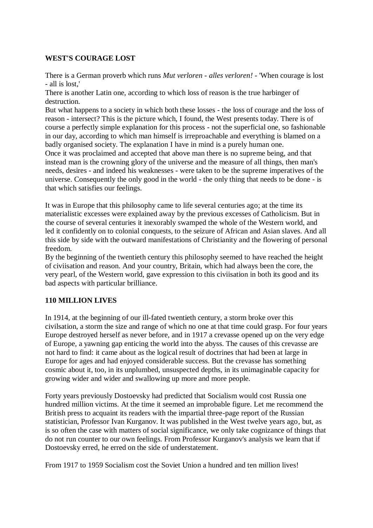## **WEST'S COURAGE LOST**

There is a German proverb which runs *Mut verloren - alles verloren!* - 'When courage is lost - all is lost,'

There is another Latin one, according to which loss of reason is the true harbinger of destruction.

But what happens to a society in which both these losses - the loss of courage and the loss of reason - intersect? This is the picture which, I found, the West presents today. There is of course a perfectly simple explanation for this process - not the superficial one, so fashionable in our day, according to which man himself is irreproachable and everything is blamed on a badly organised society. The explanation I have in mind is a purely human one.

Once it was proclaimed and accepted that above man there is no supreme being, and that instead man is the crowning glory of the universe and the measure of all things, then man's needs, desires - and indeed his weaknesses - were taken to be the supreme imperatives of the universe. Consequently the only good in the world - the only thing that needs to be done - is that which satisfies our feelings.

It was in Europe that this philosophy came to life several centuries ago; at the time its materialistic excesses were explained away by the previous excesses of Catholicism. But in the course of several centuries it inexorably swamped the whole of the Western world, and led it confidently on to colonial conquests, to the seizure of African and Asian slaves. And all this side by side with the outward manifestations of Christianity and the flowering of personal freedom.

By the beginning of the twentieth century this philosophy seemed to have reached the height of civiisation and reason. And your country, Britain, which had always been the core, the very pearl, of the Western world, gave expression to this civiisation in both its good and its bad aspects with particular brilliance.

#### **110 MILLION LIVES**

In 1914, at the beginning of our ill-fated twentieth century, a storm broke over this civilsation, a storm the size and range of which no one at that time could grasp. For four years Europe destroyed herself as never before, and in 1917 a crevasse opened up on the very edge of Europe, a yawning gap enticing the world into the abyss. The causes of this crevasse are not hard to find: it came about as the logical result of doctrines that had been at large in Europe for ages and had enjoyed considerable success. But the crevasse has something cosmic about it, too, in its unplumbed, unsuspected depths, in its unimaginable capacity for growing wider and wider and swallowing up more and more people.

Forty years previously Dostoevsky had predicted that Socialism would cost Russia one hundred million victims. At the time it seemed an improbable figure. Let me recommend the British press to acquaint its readers with the impartial three-page report of the Russian statistician, Professor Ivan Kurganov. It was published in the West twelve years ago, but, as is so often the case with matters of social significance, we only take cognizance of things that do not run counter to our own feelings. From Professor Kurganov's analysis we learn that if Dostoevsky erred, he erred on the side of understatement.

From 1917 to 1959 Socialism cost the Soviet Union a hundred and ten million lives!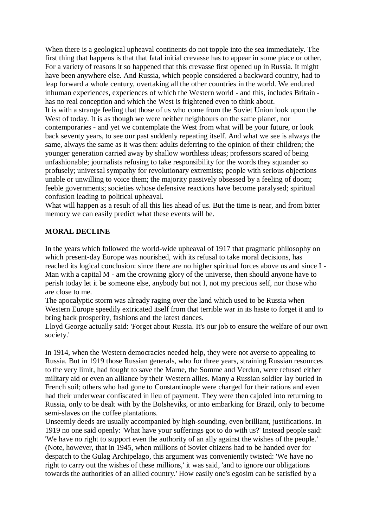When there is a geological upheaval continents do not topple into the sea immediately. The first thing that happens is that that fatal initial crevasse has to appear in some place or other. For a variety of reasons it so happened that this crevasse first opened up in Russia. It might have been anywhere else. And Russia, which people considered a backward country, had to leap forward a whole century, overtaking all the other countries in the world. We endured inhuman experiences, experiences of which the Western world - and this, includes Britain has no real conception and which the West is frightened even to think about. It is with a strange feeling that those of us who come from the Soviet Union look upon the West of today. It is as though we were neither neighbours on the same planet, nor contemporaries - and yet we contemplate the West from what will be your future, or look back seventy years, to see our past suddenly repeating itself. And what we see is always the same, always the same as it was then: adults deferring to the opinion of their children; the younger generation carried away by shallow worthless ideas; professors scared of being unfashionable; journalists refusing to take responsibility for the words they squander so profusely; universal sympathy for revolutionary extremists; people with serious objections unable or unwilling to voice them; the majority passively obsessed by a feeling of doom; feeble governments; societies whose defensive reactions have become paralysed; spiritual confusion leading to political upheaval.

What will happen as a result of all this lies ahead of us. But the time is near, and from bitter memory we can easily predict what these events will be.

### **MORAL DECLINE**

In the years which followed the world-wide upheaval of 1917 that pragmatic philosophy on which present-day Europe was nourished, with its refusal to take moral decisions, has reached its logical conclusion: since there are no higher spiritual forces above us and since I - Man with a capital M - am the crowning glory of the universe, then should anyone have to perish today let it be someone else, anybody but not I, not my precious self, nor those who are close to me.

The apocalyptic storm was already raging over the land which used to be Russia when Western Europe speedily extricated itself from that terrible war in its haste to forget it and to bring back prosperity, fashions and the latest dances.

Lloyd George actually said: 'Forget about Russia. It's our job to ensure the welfare of our own society.'

In 1914, when the Western democracies needed help, they were not averse to appealing to Russia. But in 1919 those Russian generals, who for three years, straining Russian resources to the very limit, had fought to save the Marne, the Somme and Verdun, were refused either military aid or even an alliance by their Western allies. Many a Russian soldier lay buried in French soil; others who had gone to Constantinople were charged for their rations and even had their underwear confiscated in lieu of payment. They were then cajoled into returning to Russia, only to be dealt with by the Bolsheviks, or into embarking for Brazil, only to become semi-slaves on the coffee plantations.

Unseemly deeds are usually accompanied by high-sounding, even brilliant, justifications. In 1919 no one said openly: 'What have your sufferings got to do with us?' Instead people said: 'We have no right to support even the authority of an ally against the wishes of the people.' (Note, however, that in 1945, when millions of Soviet citizens had to be handed over for despatch to the Gulag Archipelago, this argument was conveniently twisted: 'We have no right to carry out the wishes of these millions,' it was said, 'and to ignore our obligations towards the authorities of an allied country.' How easily one's egosim can be satisfied by a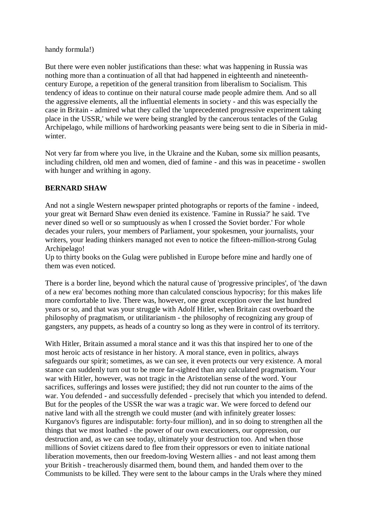handy formula!)

But there were even nobler justifications than these: what was happening in Russia was nothing more than a continuation of all that had happened in eighteenth and nineteenthcentury Europe, a repetition of the general transition from liberalism to Socialism. This tendency of ideas to continue on their natural course made people admire them. And so all the aggressive elements, all the influential elements in society - and this was especially the case in Britain - admired what they called the 'unprecedented progressive experiment taking place in the USSR,' while we were being strangled by the cancerous tentacles of the Gulag Archipelago, while millions of hardworking peasants were being sent to die in Siberia in midwinter.

Not very far from where you live, in the Ukraine and the Kuban, some six million peasants, including children, old men and women, died of famine - and this was in peacetime - swollen with hunger and writhing in agony.

### **BERNARD SHAW**

And not a single Western newspaper printed photographs or reports of the famine - indeed, your great wit Bernard Shaw even denied its existence. 'Famine in Russia?' he said. 'I've never dined so well or so sumptuously as when I crossed the Soviet border.' For whole decades your rulers, your members of Parliament, your spokesmen, your journalists, your writers, your leading thinkers managed not even to notice the fifteen-million-strong Gulag Archipelago!

Up to thirty books on the Gulag were published in Europe before mine and hardly one of them was even noticed.

There is a border line, beyond which the natural cause of 'progressive principles', of 'the dawn of a new era' becomes nothing more than calculated conscious hypocrisy; for this makes life more comfortable to live. There was, however, one great exception over the last hundred years or so, and that was your struggle with Adolf Hitler, when Britain cast overboard the philosophy of pragmatism, or utilitarianism - the philosophy of recognizing any group of gangsters, any puppets, as heads of a country so long as they were in control of its territory.

With Hitler, Britain assumed a moral stance and it was this that inspired her to one of the most heroic acts of resistance in her history. A moral stance, even in politics, always safeguards our spirit; sometimes, as we can see, it even protects our very existence. A moral stance can suddenly turn out to be more far-sighted than any calculated pragmatism. Your war with Hitler, however, was not tragic in the Aristotelian sense of the word. Your sacrifices, sufferings and losses were justified; they did not run counter to the aims of the war. You defended - and successfully defended - precisely that which you intended to defend. But for the peoples of the USSR the war was a tragic war. We were forced to defend our native land with all the strength we could muster (and with infinitely greater losses: Kurganov's figures are indisputable: forty-four million), and in so doing to strengthen all the things that we most loathed - the power of our own executioners, our oppression, our destruction and, as we can see today, ultimately your destruction too. And when those millions of Soviet citizens dared to flee from their oppressors or even to initiate national liberation movements, then our freedom-loving Western allies - and not least among them your British - treacherously disarmed them, bound them, and handed them over to the Communists to be killed. They were sent to the labour camps in the Urals where they mined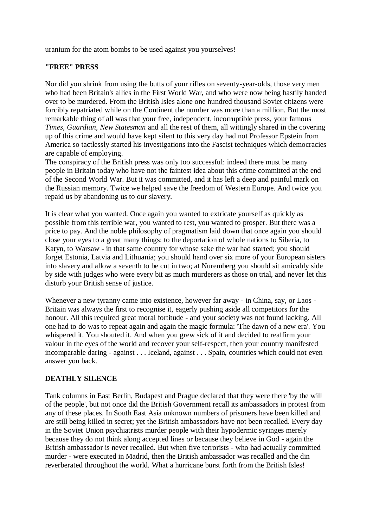uranium for the atom bombs to be used against you yourselves!

#### **"FREE" PRESS**

Nor did you shrink from using the butts of your rifles on seventy-year-olds, those very men who had been Britain's allies in the First World War, and who were now being hastily handed over to be murdered. From the British Isles alone one hundred thousand Soviet citizens were forcibly repatriated while on the Continent the number was more than a million. But the most remarkable thing of all was that your free, independent, incorruptible press, your famous *Times, Guardian, New Statesman* and all the rest of them, all wittingly shared in the covering up of this crime and would have kept silent to this very day had not Professor Epstein from America so tactlessly started his investigations into the Fascist techniques which democracies are capable of employing.

The conspiracy of the British press was only too successful: indeed there must be many people in Britain today who have not the faintest idea about this crime committed at the end of the Second World War. But it was committed, and it has left a deep and painful mark on the Russian memory. Twice we helped save the freedom of Western Europe. And twice you repaid us by abandoning us to our slavery.

It is clear what you wanted. Once again you wanted to extricate yourself as quickly as possible from this terrible war, you wanted to rest, you wanted to prosper. But there was a price to pay. And the noble philosophy of pragmatism laid down that once again you should close your eyes to a great many things: to the deportation of whole nations to Siberia, to Katyn, to Warsaw - in that same country for whose sake the war had started; you should forget Estonia, Latvia and Lithuania; you should hand over six more of your European sisters into slavery and allow a seventh to be cut in two; at Nuremberg you should sit amicably side by side with judges who were every bit as much murderers as those on trial, and never let this disturb your British sense of justice.

Whenever a new tyranny came into existence, however far away - in China, say, or Laos - Britain was always the first to recognise it, eagerly pushing aside all competitors for the honour. All this required great moral fortitude - and your society was not found lacking. All one had to do was to repeat again and again the magic formula: 'The dawn of a new era'. You whispered it. You shouted it. And when you grew sick of it and decided to reaffirm your valour in the eyes of the world and recover your self-respect, then your country manifested incomparable daring - against . . . Iceland, against . . . Spain, countries which could not even answer you back.

## **DEATHLY SILENCE**

Tank columns in East Berlin, Budapest and Prague declared that they were there 'by the will of the people', but not once did the British Government recall its ambassadors in protest from any of these places. In South East Asia unknown numbers of prisoners have been killed and are still being killed in secret; yet the British ambassadors have not been recalled. Every day in the Soviet Union psychiatrists murder people with their hypodermic syringes merely because they do not think along accepted lines or because they believe in God - again the British ambassador is never recalled. But when five terrorists - who had actually committed murder - were executed in Madrid, then the British ambassador was recalled and the din reverberated throughout the world. What a hurricane burst forth from the British Isles!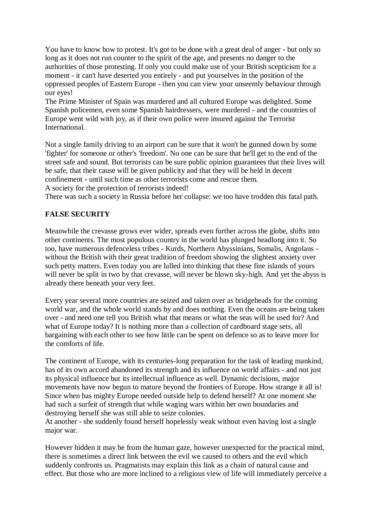You have to know how to protest. It's got to be done with a great deal of anger - but only so long as it does not run counter to the spirit of the age, and presents no danger to the authorities of those protesting. If only you could make use of your British scepticism for a moment - it can't have deserted you entirely - and put yourselves in the position of the oppressed peoples of Eastern Europe - then you can view your unseemly behaviour through our eyes!

The Prime Minister of Spain was murdered and all cultured Europe was delighted. Some Spanish policemen, even some Spanish hairdressers, were murdered - and the countries of Europe went wild with joy, as if their own police were insured against the Terrorist International.

Not a single family driving to an airport can be sure that it won't be gunned down by some 'fighter' for someone or other's 'freedom'. No one can be sure that he'll get to the end of the street safe and sound. But terrorists can be sure public opinion guarantees that their lives will be safe, that their cause will be given publicity and that they will be held in decent confinement - until such time as other terrorists come and rescue them.

A society for the protection of terrorists indeed!

There was such a society in Russia before her collapse: we too have trodden this fatal path.

## **FALSE SECURITY**

Meanwhile the crevasse grows ever wider, spreads even further across the globe, shifts into other continents. The most populous country in the world has plunged headlong into it. So too, have numerous defenceless tribes - Kurds, Northern Abyssinians, Somalis, Angolans without the British with their great tradition of freedom showing the slightest anxiety over such petty matters. Even today you are lulled into thinking that these fine islands of yours will never be split in two by that crevasse, will never be blown sky-high. And yet the abyss is already there beneath your very feet.

Every year several more countries are seized and taken over as bridgeheads for the coming world war, and the whole world stands by and does nothing. Even the oceans are being taken over - and need one tell you British what that means or what the seas will be used for? And what of Europe today? It is nothing more than a collection of cardboard stage sets, all bargaining with each other to see how little can be spent on defence so as to leave more for the comforts of life.

The continent of Europe, with its centuries-long preparation for the task of leading mankind, has of its own accord abandoned its strength and its influence on world affairs - and not just its physical influence but its intellectual influence as well. Dynamic decisions, major movements have now begun to mature beyond the frontiers of Europe. How strange it all is! Since when has mighty Europe needed outside help to defend herself? At one moment she had such a surfeit of strength that while waging wars within her own boundaries and destroying herself she was still able to seize colonies.

At another - she suddenly found herself hopelessly weak without even having lost a single major war.

However hidden it may be from the human gaze, however unexpected for the practical mind, there is sometimes a direct link between the evil we caused to others and the evil which suddenly confronts us. Pragmatists may explain this link as a chain of natural cause and effect. But those who are more inclined to a religious view of life will immediately perceive a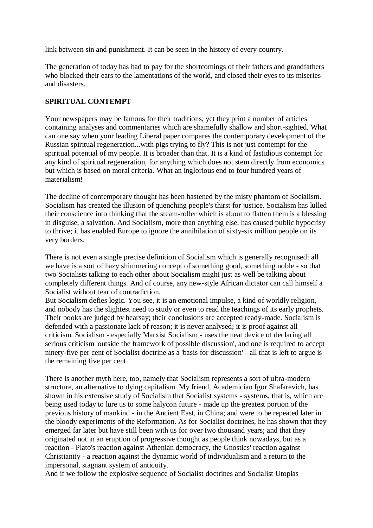link between sin and punishment. It can be seen in the history of every country.

The generation of today has had to pay for the shortcomings of their fathers and grandfathers who blocked their ears to the lamentations of the world, and closed their eyes to its miseries and disasters.

## **SPIRITUAL CONTEMPT**

Your newspapers may be famous for their traditions, yet they print a number of articles containing analyses and commentaries which are shamefully shallow and short-sighted. What can one say when your leading Liberal paper compares the contemporary development of the Russian spiritual regeneration...with pigs trying to fly? This is not just contempt for the spiritual potential of my people. It is broader than that. It is a kind of fastidious contempt for any kind of spiritual regeneration, for anything which does not stem directly from economics but which is based on moral criteria. What an inglorious end to four hundred years of materialism!

The decline of contemporary thought has been hastened by the misty phantom of Socialism. Socialism has created the illusion of quenching people's thirst for justice. Socialism has lulled their conscience into thinking that the steam-roller which is about to flatten them is a blessing in disguise, a salvation. And Socialism, more than anything else, has caused public hypocrisy to thrive; it has enabled Europe to ignore the annihilation of sixty-six million people on its very borders.

There is not even a single precise definition of Socialism which is generally recognised: all we have is a sort of hazy shimmering concept of something good, something noble - so that two Socialists talking to each other about Socialism might just as well be talking about completely different things. And of course, any new-style African dictator can call himself a Socialist without fear of contradiction.

But Socialism defies logic. You see, it is an emotional impulse, a kind of worldly religion, and nobody has the slightest need to study or even to read the teachings of its early prophets. Their books are judged by hearsay; their conclusions are accepted ready-made. Socialism is defended with a passionate lack of reason; it is never analysed; it is proof against all criticism. Socialism - especially Marxist Socialism - uses the neat device of declaring all serious criticism 'outside the framework of possible discussion', and one is required to accept ninety-five per cent of Socialist doctrine as a 'basis for discussion' - all that is left to argue is the remaining five per cent.

There is another myth here, too, namely that Socialism represents a sort of ultra-modern structure, an alternative to dying capitalism. My friend, Academician Igor Shafarevich, has shown in his extensive study of Socialism that Socialist systems - systems, that is, which are being used today to lure us to some halycon future - made up the greatest portion of the previous history of mankind - in the Ancient East, in China; and were to be repeated later in the bloody experiments of the Reformation. As for Socialist doctrines, he has shown that they emerged far later but have still been with us for over two thousand years; and that they originated not in an eruption of progressive thought as people think nowadays, but as a reaction - Plato's reaction against Athenian democracy, the Gnostics' reaction against Christianity - a reaction against the dynamic world of individualism and a return to the impersonal, stagnant system of antiquity.

And if we follow the explosive sequence of Socialist doctrines and Socialist Utopias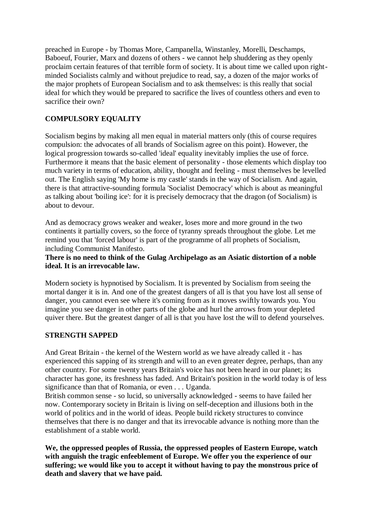preached in Europe - by Thomas More, Campanella, Winstanley, Morelli, Deschamps, Baboeuf, Fourier, Marx and dozens of others - we cannot help shuddering as they openly proclaim certain features of that terrible form of society. It is about time we called upon rightminded Socialists calmly and without prejudice to read, say, a dozen of the major works of the major prophets of European Socialism and to ask themselves: is this really that social ideal for which they would be prepared to sacrifice the lives of countless others and even to sacrifice their own?

## **COMPULSORY EQUALITY**

Socialism begins by making all men equal in material matters only (this of course requires compulsion: the advocates of all brands of Socialism agree on this point). However, the logical progression towards so-called 'ideal' equality inevitably implies the use of force. Furthermore it means that the basic element of personality - those elements which display too much variety in terms of education, ability, thought and feeling - must themselves be levelled out. The English saying 'My home is my castle' stands in the way of Socialism. And again, there is that attractive-sounding formula 'Socialist Democracy' which is about as meaningful as talking about 'boiling ice': for it is precisely democracy that the dragon (of Socialism) is about to devour.

And as democracy grows weaker and weaker, loses more and more ground in the two continents it partially covers, so the force of tyranny spreads throughout the globe. Let me remind you that 'forced labour' is part of the programme of all prophets of Socialism, including Communist Manifesto.

### **There is no need to think of the Gulag Archipelago as an Asiatic distortion of a noble ideal. It is an irrevocable law.**

Modern society is hypnotised by Socialism. It is prevented by Socialism from seeing the mortal danger it is in. And one of the greatest dangers of all is that you have lost all sense of danger, you cannot even see where it's coming from as it moves swiftly towards you. You imagine you see danger in other parts of the globe and hurl the arrows from your depleted quiver there. But the greatest danger of all is that you have lost the will to defend yourselves.

## **STRENGTH SAPPED**

And Great Britain - the kernel of the Western world as we have already called it - has experienced this sapping of its strength and will to an even greater degree, perhaps, than any other country. For some twenty years Britain's voice has not been heard in our planet; its character has gone, its freshness has faded. And Britain's position in the world today is of less significance than that of Romania, or even . . . Uganda.

British common sense - so lucid, so universally acknowledged - seems to have failed her now. Contemporary society in Britain is living on self-deception and illusions both in the world of politics and in the world of ideas. People build rickety structures to convince themselves that there is no danger and that its irrevocable advance is nothing more than the establishment of a stable world.

**We, the oppressed peoples of Russia, the oppressed peoples of Eastern Europe, watch with anguish the tragic enfeeblement of Europe. We offer you the experience of our suffering; we would like you to accept it without having to pay the monstrous price of death and slavery that we have paid.**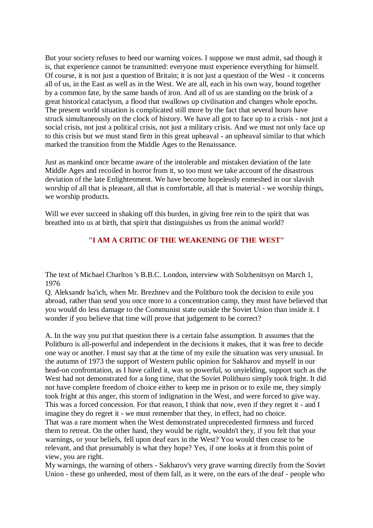But your society refuses to heed our warning voices. I suppose we must admit, sad though it is, that experience cannot be transmitted: everyone must experience everything for himself. Of course, it is not just a question of Britain; it is not just a question of the West - it concerns all of us, in the East as well as in the West. We are all, each in his own way, bound together by a common fate, by the same bands of iron. And all of us are standing on the brink of a great historical cataclysm, a flood that swallows up civilisation and changes whole epochs. The present world situation is complicated still more by the fact that several hours have struck simultaneously on the clock of history. We have all got to face up to a crisis - not just a social crisis, not just a political crisis, not just a military crisis. And we must not only face up to this crisis but we must stand firm in this great upheaval - an upheaval similar to that which marked the transition from the Middle Ages to the Renaissance.

Just as mankind once became aware of the intolerable and mistaken deviation of the late Middle Ages and recoiled in horror from it, so too must we take account of the disastrous deviation of the late Enlightenment. We have become hopelessly enmeshed in our slavish worship of all that is pleasant, all that is comfortable, all that is material - we worship things, we worship products.

Will we ever succeed in shaking off this burden, in giving free rein to the spirit that was breathed into us at birth, that spirit that distinguishes us from the animal world?

## **"I AM A CRITIC OF THE WEAKENING OF THE WEST"**

The text of Michael Charlton 's B.B.C. London, interview with Solzhenitsyn on March 1, 1976

Q. Aleksandr lsa'ich, when Mr. Brezhnev and the Politburo took the decision to exile you abroad, rather than send you once more to a concentration camp, they must have believed that you would do less damage to the Communist state outside the Soviet Union than inside it. I wonder if you believe that time will prove that judgement to be correct?

A. In the way you put that question there is a certain false assumption. It assumes that the Politburo is all-powerful and independent in the decisions it makes, that it was free to decide one way or another. I must say that at the time of my exile the situation was very unusual. In the autumn of 1973 the support of Western public opinion for Sakharov and myself in our head-on confrontation, as I have called it, was so powerful, so unyielding, support such as the West had not demonstrated for a long time, that the Soviet Politburo simply took fright. It did not have complete freedom of choice either to keep me in prison or to exile me, they simply took fright at this anger, this storm of indignation in the West, and were forced to give way. This was a forced concession. For that reason, I think that now, even if they regret it - and I imagine they do regret it - we must remember that they, in effect, had no choice.

That was a rare moment when the West demonstrated unprecedented firmness and forced them to retreat. On the other hand, they would be right, wouldn't they, if you felt that your warnings, or your beliefs, fell upon deaf ears in the West? You would then cease to be relevant, and that presumably is what they hope? Yes, if one looks at it from this point of view, you are right.

My warnings, the warning of others - Sakharov's very grave warning directly from the Soviet Union - these go unheeded, most of them fall, as it were, on the ears of the deaf - people who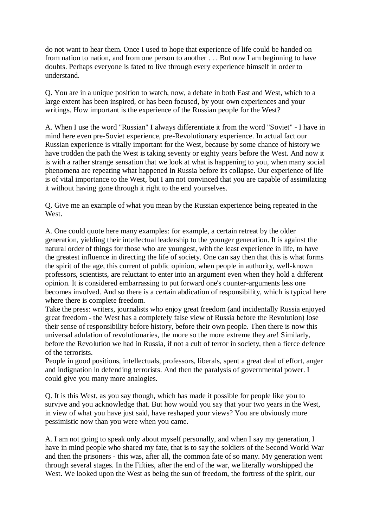do not want to hear them. Once I used to hope that experience of life could be handed on from nation to nation, and from one person to another . . . But now I am beginning to have doubts. Perhaps everyone is fated to live through every experience himself in order to understand.

Q. You are in a unique position to watch, now, a debate in both East and West, which to a large extent has been inspired, or has been focused, by your own experiences and your writings. How important is the experience of the Russian people for the West?

A. When I use the word "Russian" I always differentiate it from the word "Soviet" - I have in mind here even pre-Soviet experience, pre-Revolutionary experience. In actual fact our Russian experience is vitally important for the West, because by some chance of history we have trodden the path the West is taking seventy or eighty years before the West. And now it is with a rather strange sensation that we look at what is happening to you, when many social phenomena are repeating what happened in Russia before its collapse. Our experience of life is of vital importance to the West, but I am not convinced that you are capable of assimilating it without having gone through it right to the end yourselves.

Q. Give me an example of what you mean by the Russian experience being repeated in the West.

A. One could quote here many examples: for example, a certain retreat by the older generation, yielding their intellectual leadership to the younger generation. It is against the natural order of things for those who are youngest, with the least experience in life, to have the greatest influence in directing the life of society. One can say then that this is what forms the spirit of the age, this current of public opinion, when people in authority, well-known professors, scientists, are reluctant to enter into an argument even when they hold a different opinion. It is considered embarrassing to put forward one's counter-arguments less one becomes involved. And so there is a certain abdication of responsibility, which is typical here where there is complete freedom.

Take the press: writers, journalists who enjoy great freedom (and incidentally Russia enjoyed great freedom - the West has a completely false view of Russia before the Revolution) lose their sense of responsibility before history, before their own people. Then there is now this universal adulation of revolutionaries, the more so the more extreme they are! Similarly, before the Revolution we had in Russia, if not a cult of terror in society, then a fierce defence of the terrorists.

People in good positions, intellectuals, professors, liberals, spent a great deal of effort, anger and indignation in defending terrorists. And then the paralysis of governmental power. I could give you many more analogies.

Q. It is this West, as you say though, which has made it possible for people like you to survive and you acknowledge that. But how would you say that your two years in the West, in view of what you have just said, have reshaped your views? You are obviously more pessimistic now than you were when you came.

A. I am not going to speak only about myself personally, and when I say my generation, I have in mind people who shared my fate, that is to say the soldiers of the Second World War and then the prisoners - this was, after all, the common fate of so many. My generation went through several stages. In the Fifties, after the end of the war, we literally worshipped the West. We looked upon the West as being the sun of freedom, the fortress of the spirit, our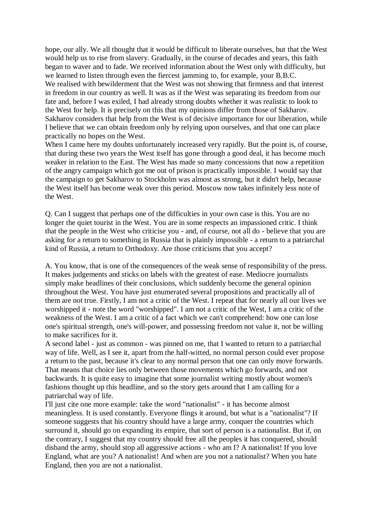hope, our ally. We all thought that it would be difficult to liberate ourselves, but that the West would help us to rise from slavery. Gradually, in the course of decades and years, this faith began to waver and to fade. We received information about the West only with difficulty, but we learned to listen through even the fiercest jamming to, for example, your B.B.C. We realised with bewilderment that the West was not showing that firmness and that interest in freedom in our country as well. It was as if the West was separating its freedom from our fate and, before I was exiled, I had already strong doubts whether it was realistic to look to the West for help. It is precisely on this that my opinions differ from those of Sakharov. Sakharov considers that help from the West is of decisive importance for our liberation, while I believe that we can obtain freedom only by relying upon ourselves, and that one can place practically no hopes on the West.

When I came here my doubts unfortunately increased very rapidly. But the point is, of course, that during these two years the West itself has gone through a good deal, it has become much weaker in relation to the East. The West has made so many concessions that now a repetition of the angry campaign which got me out of prison is practically impossible. I would say that the campaign to get Sakharov to Stockholm was almost as strong, but it didn't help, because the West itself has become weak over this period. Moscow now takes infinitely less note of the West.

Q. Can I suggest that perhaps one of the difficulties in your own case is this. You are no longer the quiet tourist in the West. You are in some respects an impassioned critic. I think that the people in the West who criticise you - and, of course, not all do - believe that you are asking for a return to something in Russia that is plainly impossible - a return to a patriarchal kind of Russia, a return to Orthodoxy. Are those criticisms that you accept?

A. You know, that is one of the consequences of the weak sense of responsibility of the press. It makes judgements and sticks on labels with the greatest of ease. Mediocre journalists simply make headlines of their conclusions, which suddenly become the general opinion throughout the West. You have just enumerated several propositions and practically all of them are not true. Firstly, I am not a critic of the West. I repeat that for nearly all our lives we worshipped it - note the word "worshipped". I am not a critic of the West, I am a critic of the weakness of the West. I am a critic of a fact which we can't comprehend: how one can lose one's spiritual strength, one's will-power, and possessing freedom not value it, not be willing to make sacrifices for it.

A second label - just as common - was pinned on me, that I wanted to return to a patriarchal way of life. Well, as I see it, apart from the half-witted, no normal person could ever propose a return to the past, because it's clear to any normal person that one can only move forwards. That means that choice lies only between those movements which go forwards, and not backwards. It is quite easy to imagine that some journalist writing mostly about women's fashions thought up this headline, and so the story gets around that I am calling for a patriarchal way of life.

I'll just cite one more example: take the word "nationalist" - it has become almost meaningless. It is used constantly. Everyone flings it around, but what is a "nationalist"? If someone suggests that his country should have a large army, conquer the countries which surround it, should go on expanding its empire, that sort of person is a nationalist. But if, on the contrary, I suggest that my country should free all the peoples it has conquered, should disband the army, should stop all aggressive actions - who am I? A nationalist! If you love England, what are you? A nationalist! And when are you not a nationalist? When you hate England, then you are not a nationalist.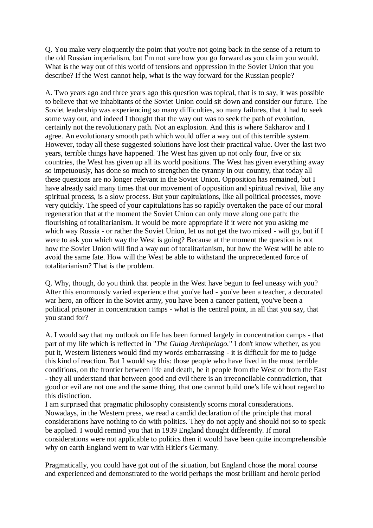Q. You make very eloquently the point that you're not going back in the sense of a return to the old Russian imperialism, but I'm not sure how you go forward as you claim you would. What is the way out of this world of tensions and oppression in the Soviet Union that you describe? If the West cannot help, what is the way forward for the Russian people?

A. Two years ago and three years ago this question was topical, that is to say, it was possible to believe that we inhabitants of the Soviet Union could sit down and consider our future. The Soviet leadership was experiencing so many difficulties, so many failures, that it had to seek some way out, and indeed I thought that the way out was to seek the path of evolution, certainly not the revolutionary path. Not an explosion. And this is where Sakharov and I agree. An evolutionary smooth path which would offer a way out of this terrible system. However, today all these suggested solutions have lost their practical value. Over the last two years, terrible things have happened. The West has given up not only four, five or six countries, the West has given up all its world positions. The West has given everything away so impetuously, has done so much to strengthen the tyranny in our country, that today all these questions are no longer relevant in the Soviet Union. Opposition has remained, but I have already said many times that our movement of opposition and spiritual revival, like any spiritual process, is a slow process. But your capitulations, like all political processes, move very quickly. The speed of your capitulations has so rapidly overtaken the pace of our moral regeneration that at the moment the Soviet Union can only move along one path: the flourishing of totalitarianism. It would be more appropriate if it were not you asking me which way Russia - or rather the Soviet Union, let us not get the two mixed - will go, but if I were to ask you which way the West is going? Because at the moment the question is not how the Soviet Union will find a way out of totalitarianism, but how the West will be able to avoid the same fate. How will the West be able to withstand the unprecedented force of totalitarianism? That is the problem.

Q. Why, though, do you think that people in the West have begun to feel uneasy with you? After this enormously varied experience that you've had - you've been a teacher, a decorated war hero, an officer in the Soviet army, you have been a cancer patient, you've been a political prisoner in concentration camps - what is the central point, in all that you say, that you stand for?

A. I would say that my outlook on life has been formed largely in concentration camps - that part of my life which is reflected in "*The Gulag Archipelago.*" I don't know whether, as you put it, Western listeners would find my words embarrassing - it is difficult for me to judge this kind of reaction. But I would say this: those people who have lived in the most terrible conditions, on the frontier between life and death, be it people from the West or from the East - they all understand that between good and evil there is an irreconcilable contradiction, that good or evil are not one and the same thing, that one cannot build one's life without regard to this distinction.

I am surprised that pragmatic philosophy consistently scorns moral considerations. Nowadays, in the Western press, we read a candid declaration of the principle that moral considerations have nothing to do with politics. They do not apply and should not so to speak be applied. I would remind you that in 1939 England thought differently. If moral considerations were not applicable to politics then it would have been quite incomprehensible why on earth England went to war with Hitler's Germany.

Pragmatically, you could have got out of the situation, but England chose the moral course and experienced and demonstrated to the world perhaps the most brilliant and heroic period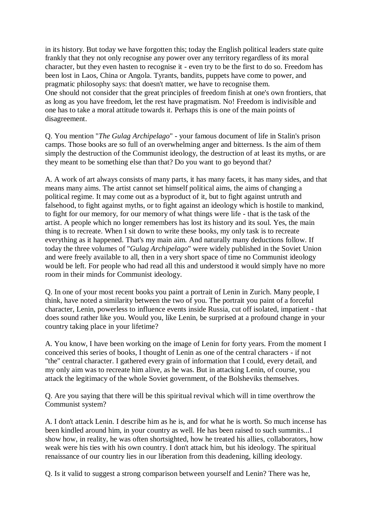in its history. But today we have forgotten this; today the English political leaders state quite frankly that they not only recognise any power over any territory regardless of its moral character, but they even hasten to recognise it - even try to be the first to do so. Freedom has been lost in Laos, China or Angola. Tyrants, bandits, puppets have come to power, and pragmatic philosophy says: that doesn't matter, we have to recognise them. One should not consider that the great principles of freedom finish at one's own frontiers, that as long as you have freedom, let the rest have pragmatism. No! Freedom is indivisible and one has to take a moral attitude towards it. Perhaps this is one of the main points of disagreement.

Q. You mention "*The Gulag Archipelago*" - your famous document of life in Stalin's prison camps. Those books are so full of an overwhelming anger and bitterness. Is the aim of them simply the destruction of the Communist ideology, the destruction of at least its myths, or are they meant to be something else than that? Do you want to go beyond that?

A. A work of art always consists of many parts, it has many facets, it has many sides, and that means many aims. The artist cannot set himself political aims, the aims of changing a political regime. It may come out as a byproduct of it, but to fight against untruth and falsehood, to fight against myths, or to fight against an ideology which is hostile to mankind, to fight for our memory, for our memory of what things were life - that is the task of the artist. A people which no longer remembers has lost its history and its soul. Yes, the main thing is to recreate. When I sit down to write these books, my only task is to recreate everything as it happened. That's my main aim. And naturally many deductions follow. If today the three volumes of "*Gulag Archipelago*" were widely published in the Soviet Union and were freely available to all, then in a very short space of time no Communist ideology would be left. For people who had read all this and understood it would simply have no more room in their minds for Communist ideology.

Q. In one of your most recent books you paint a portrait of Lenin in Zurich. Many people, I think, have noted a similarity between the two of you. The portrait you paint of a forceful character, Lenin, powerless to influence events inside Russia, cut off isolated, impatient - that does sound rather like you. Would you, like Lenin, be surprised at a profound change in your country taking place in your lifetime?

A. You know, I have been working on the image of Lenin for forty years. From the moment I conceived this series of books, I thought of Lenin as one of the central characters - if not "the" central character. I gathered every grain of information that I could, every detail, and my only aim was to recreate him alive, as he was. But in attacking Lenin, of course, you attack the legitimacy of the whole Soviet government, of the Bolsheviks themselves.

Q. Are you saying that there will be this spiritual revival which will in time overthrow the Communist system?

A. I don't attack Lenin. I describe him as he is, and for what he is worth. So much incense has been kindled around him, in your country as well. He has been raised to such summits...I show how, in reality, he was often shortsighted, how he treated his allies, collaborators, how weak were his ties with his own country. I don't attack him, but his ideology. The spiritual renaissance of our country lies in our liberation from this deadening, killing ideology.

Q. Is it valid to suggest a strong comparison between yourself and Lenin? There was he,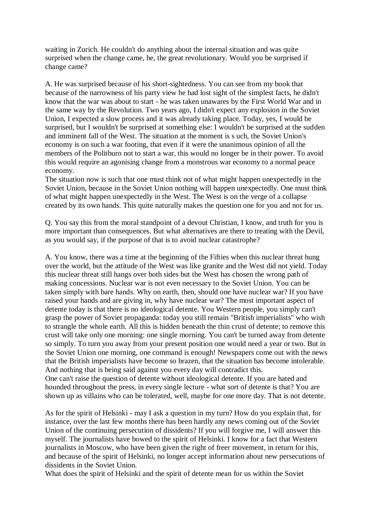waiting in Zurich. He couldn't do anything about the internal situation and was quite surprised when the change came, he, the great revolutionary. Would you be surprised if change came?

A. He was surprised because of his short-sightedness. You can see from my book that because of the narrowness of his party view he had lost sight of the simplest facts, he didn't know that the war was about to start - he was taken unawares by the First World War and in the same way by the Revolution. Two years ago, I didn't expect any explosion in the Soviet Union, I expected a slow process and it was already taking place. Today, yes, I would be surprised, but I wouldn't be surprised at something else: I wouldn't be surprised at the sudden and imminent fall of the West. The situation at the moment is s uch, the Soviet Union's economy is on such a war footing, that even if it were the unanimous opinion of all the members of the Politburo not to start a war, this would no longer be in their power. To avoid this would require an agonising change from a monstrous war economy to a normal peace economy.

The situation now is such that one must think not of what might happen unexpectedly in the Soviet Union, because in the Soviet Union nothing will happen unexpectedly. One must think of what might happen unexpectedly in the West. The West is on the verge of a collapse created by its own hands. This quite naturally makes the question one for you and not for us.

Q. You say this from the moral standpoint of a devout Christian, I know, and truth for you is more important than consequences. But what alternatives are there to treating with the Devil, as you would say, if the purpose of that is to avoid nuclear catastrophe?

A. You know, there was a time at the beginning of the Fifties when this nuclear threat hung over the world, but the attitude of the West was like granite and the West did not yield. Today this nuclear threat still hangs over both sides but the West has chosen the wrong path of making concessions. Nuclear war is not even necessary to the Soviet Union. You can be taken simply with bare hands. Why on earth, then, should one have nuclear war? If you have raised your hands and are giving in, why have nuclear war? The most important aspect of detente today is that there is no ideological detente. You Western people, you simply can't grasp the power of Soviet propaganda: today you still remain "British imperialists" who wish to strangle the whole earth. All this is hidden beneath the thin crust of detente; to remove this crust will take only one morning: one single morning. You can't be turned away from detente so simply. To turn you away from your present position one would need a year or two. But in the Soviet Union one morning, one command is enough! Newspapers come out with the news that the British imperialists have become so brazen, that the situation has become intolerable. And nothing that is being said against you every day will contradict this.

One can't raise the question of detente without ideological detente. If you are hated and hounded throughout the press, in every single lecture - what sort of detente is that? You are shown up as villains who can be tolerated, well, maybe for one more day. That is not detente.

As for the spirit of Helsinki - may I ask a question in my turn? How do you explain that, for instance, over the last few months there has been hardly any news coming out of the Soviet Union of the continuing persecution of dissidents? If you will forgive me, I will answer this myself. The journalists have bowed to the spirit of Helsinki. I know for a fact that Western journalists in Moscow, who have been given the right of freer movement, in return for this, and because of the spirit of Helsinki, no longer accept information about new persecutions of dissidents in the Soviet Union.

What does the spirit of Helsinki and the spirit of detente mean for us within the Soviet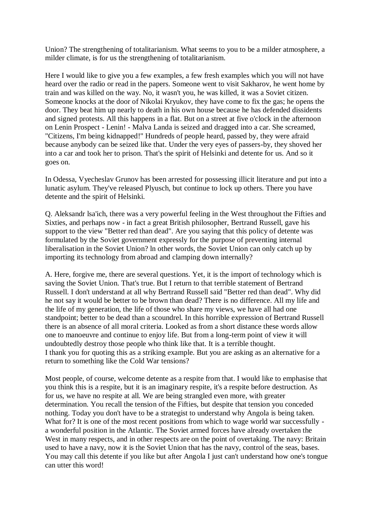Union? The strengthening of totalitarianism. What seems to you to be a milder atmosphere, a milder climate, is for us the strengthening of totalitarianism.

Here I would like to give you a few examples, a few fresh examples which you will not have heard over the radio or read in the papers. Someone went to visit Sakharov, he went home by train and was killed on the way. No, it wasn't you, he was killed, it was a Soviet citizen. Someone knocks at the door of Nikolai Kryukov, they have come to fix the gas; he opens the door. They beat him up nearly to death in his own house because he has defended dissidents and signed protests. All this happens in a flat. But on a street at five o'clock in the afternoon on Lenin Prospect - Lenin! - Malva Landa is seized and dragged into a car. She screamed, "Citizens, I'm being kidnapped!" Hundreds of people heard, passed by, they were afraid because anybody can be seized like that. Under the very eyes of passers-by, they shoved her into a car and took her to prison. That's the spirit of Helsinki and detente for us. And so it goes on.

In Odessa, Vyecheslav Grunov has been arrested for possessing illicit literature and put into a lunatic asylum. They've released Plyusch, but continue to lock up others. There you have detente and the spirit of Helsinki.

Q. Aleksandr lsa'ich, there was a very powerful feeling in the West throughout the Fifties and Sixties, and perhaps now - in fact a great British philosopher, Bertrand Russell, gave his support to the view "Better red than dead". Are you saying that this policy of detente was formulated by the Soviet government expressly for the purpose of preventing internal liberalisation in the Soviet Union? ln other words, the Soviet Union can only catch up by importing its technology from abroad and clamping down internally?

A. Here, forgive me, there are several questions. Yet, it is the import of technology which is saving the Soviet Union. That's true. But I return to that terrible statement of Bertrand Russell. I don't understand at all why Bertrand Russell said "Better red than dead". Why did he not say it would be better to be brown than dead? There is no difference. All my life and the life of my generation, the life of those who share my views, we have all had one standpoint; better to be dead than a scoundrel. In this horrible expression of Bertrand Russell there is an absence of all moral criteria. Looked as from a short distance these words allow one to manoeuvre and continue to enjoy life. But from a long-term point of view it will undoubtedly destroy those people who think like that. It is a terrible thought. I thank you for quoting this as a striking example. But you are asking as an alternative for a return to something like the Cold War tensions?

Most people, of course, welcome detente as a respite from that. I would like to emphasise that you think this is a respite, but it is an imaginary respite, it's a respite before destruction. As for us, we have no respite at all. We are being strangled even more, with greater determination. You recall the tension of the Fifties, but despite that tension you conceded nothing. Today you don't have to be a strategist to understand why Angola is being taken. What for? It is one of the most recent positions from which to wage world war successfully a wonderful position in the Atlantic. The Soviet armed forces have already overtaken the West in many respects, and in other respects are on the point of overtaking. The navy: Britain used to have a navy, now it is the Soviet Union that has the navy, control of the seas, bases. You may call this detente if you like but after Angola I just can't understand how one's tongue can utter this word!